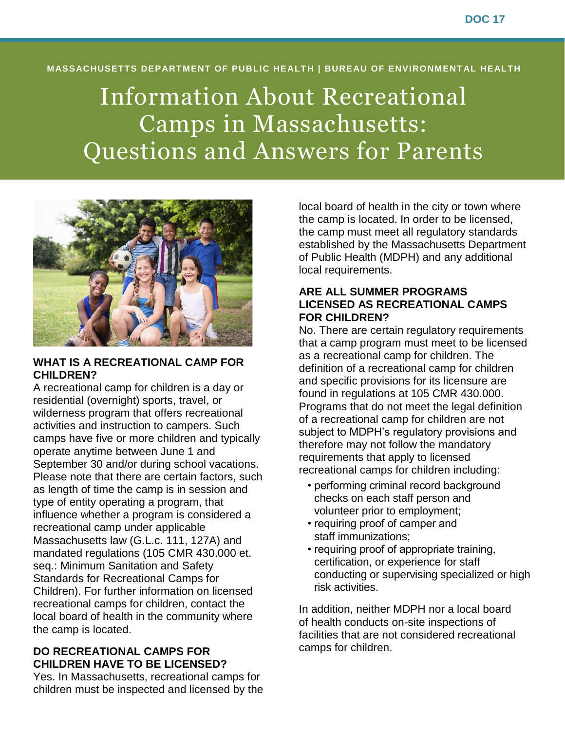#### **MASSACHUSETTS DEPARTMENT OF PUBLIC HEALTH | BUREAU OF ENVIRONMENTAL HEALTH**

# Information About Recreational Camps in Massachusetts: Questions and Answers for Parents



#### **WHAT IS A RECREATIONAL CAMP FOR CHILDREN?**

A recreational camp for children is a day or residential (overnight) sports, travel, or wilderness program that offers recreational activities and instruction to campers. Such camps have five or more children and typically operate anytime between June 1 and September 30 and/or during school vacations. Please note that there are certain factors, such as length of time the camp is in session and type of entity operating a program, that influence whether a program is considered a recreational camp under applicable Massachusetts law (G.L.c. 111, 127A) and mandated regulations (105 CMR 430.000 et. seq.: Minimum Sanitation and Safety Standards for Recreational Camps for Children). For further information on licensed recreational camps for children, contact the local board of health in the community where the camp is located.

## **DO RECREATIONAL CAMPS FOR CHILDREN HAVE TO BE LICENSED?**

Yes. In Massachusetts, recreational camps for children must be inspected and licensed by the local board of health in the city or town where the camp is located. In order to be licensed, the camp must meet all regulatory standards established by the Massachusetts Department of Public Health (MDPH) and any additional local requirements.

#### **ARE ALL SUMMER PROGRAMS LICENSED AS RECREATIONAL CAMPS FOR CHILDREN?**

No. There are certain regulatory requirements that a camp program must meet to be licensed as a recreational camp for children. The definition of a recreational camp for children and specific provisions for its licensure are found in regulations at 105 CMR 430.000. Programs that do not meet the legal definition of a recreational camp for children are not subject to MDPH's regulatory provisions and therefore may not follow the mandatory requirements that apply to licensed recreational camps for children including:

- performing criminal record background checks on each staff person and volunteer prior to employment;
- requiring proof of camper and staff immunizations;
- requiring proof of appropriate training, certification, or experience for staff conducting or supervising specialized or high risk activities.

In addition, neither MDPH nor a local board of health conducts on-site inspections of facilities that are not considered recreational camps for children.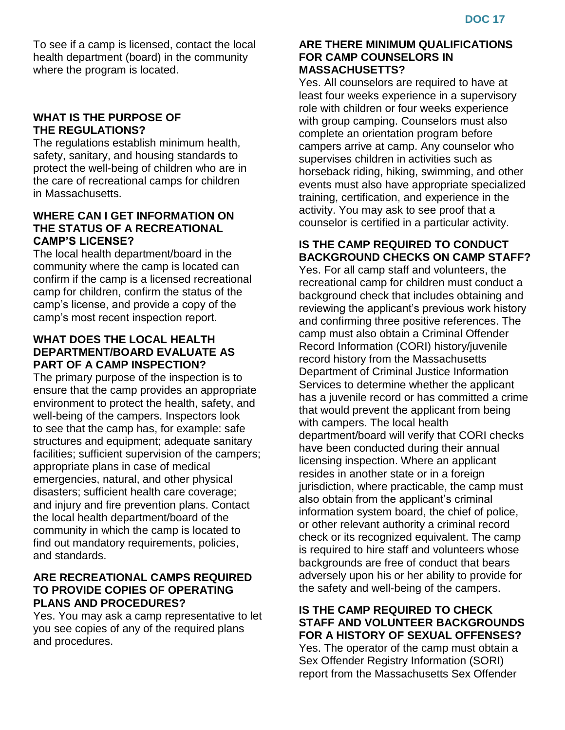To see if a camp is licensed, contact the local health department (board) in the community where the program is located.

## **WHAT IS THE PURPOSE OF THE REGULATIONS?**

The regulations establish minimum health, safety, sanitary, and housing standards to protect the well-being of children who are in the care of recreational camps for children in Massachusetts.

## **WHERE CAN I GET INFORMATION ON THE STATUS OF A RECREATIONAL CAMP'S LICENSE?**

The local health department/board in the community where the camp is located can confirm if the camp is a licensed recreational camp for children, confirm the status of the camp's license, and provide a copy of the camp's most recent inspection report.

## **WHAT DOES THE LOCAL HEALTH DEPARTMENT/BOARD EVALUATE AS PART OF A CAMP INSPECTION?**

The primary purpose of the inspection is to ensure that the camp provides an appropriate environment to protect the health, safety, and well-being of the campers. Inspectors look to see that the camp has, for example: safe structures and equipment; adequate sanitary facilities; sufficient supervision of the campers; appropriate plans in case of medical emergencies, natural, and other physical disasters; sufficient health care coverage; and injury and fire prevention plans. Contact the local health department/board of the community in which the camp is located to find out mandatory requirements, policies, and standards.

## **ARE RECREATIONAL CAMPS REQUIRED TO PROVIDE COPIES OF OPERATING PLANS AND PROCEDURES?**

Yes. You may ask a camp representative to let you see copies of any of the required plans and procedures.

#### **ARE THERE MINIMUM QUALIFICATIONS FOR CAMP COUNSELORS IN MASSACHUSETTS?**

Yes. All counselors are required to have at least four weeks experience in a supervisory role with children or four weeks experience with group camping. Counselors must also complete an orientation program before campers arrive at camp. Any counselor who supervises children in activities such as horseback riding, hiking, swimming, and other events must also have appropriate specialized training, certification, and experience in the activity. You may ask to see proof that a counselor is certified in a particular activity.

## **IS THE CAMP REQUIRED TO CONDUCT BACKGROUND CHECKS ON CAMP STAFF?**

Yes. For all camp staff and volunteers, the recreational camp for children must conduct a background check that includes obtaining and reviewing the applicant's previous work history and confirming three positive references. The camp must also obtain a Criminal Offender Record Information (CORI) history/juvenile record history from the Massachusetts Department of Criminal Justice Information Services to determine whether the applicant has a juvenile record or has committed a crime that would prevent the applicant from being with campers. The local health department/board will verify that CORI checks have been conducted during their annual licensing inspection. Where an applicant resides in another state or in a foreign jurisdiction, where practicable, the camp must also obtain from the applicant's criminal information system board, the chief of police, or other relevant authority a criminal record check or its recognized equivalent. The camp is required to hire staff and volunteers whose backgrounds are free of conduct that bears adversely upon his or her ability to provide for the safety and well-being of the campers.

# **IS THE CAMP REQUIRED TO CHECK STAFF AND VOLUNTEER BACKGROUNDS FOR A HISTORY OF SEXUAL OFFENSES?**

Yes. The operator of the camp must obtain a Sex Offender Registry Information (SORI) report from the Massachusetts Sex Offender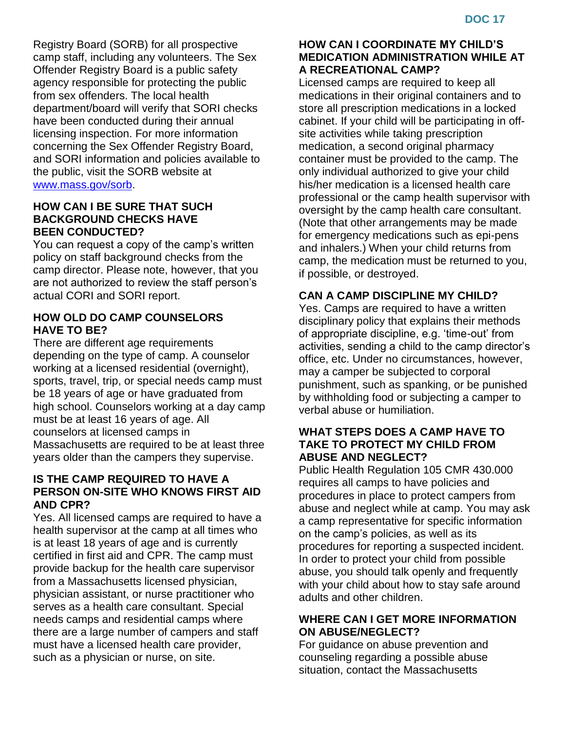Registry Board (SORB) for all prospective camp staff, including any volunteers. The Sex Offender Registry Board is a public safety agency responsible for protecting the public from sex offenders. The local health department/board will verify that SORI checks have been conducted during their annual licensing inspection. For more information concerning the Sex Offender Registry Board, and SORI information and policies available to the public, visit the SORB website at [www.mass.gov/sorb.](http://www.mass.gov/sorb)

#### **HOW CAN I BE SURE THAT SUCH BACKGROUND CHECKS HAVE BEEN CONDUCTED?**

You can request a copy of the camp's written policy on staff background checks from the camp director. Please note, however, that you are not authorized to review the staff person's actual CORI and SORI report.

## **HOW OLD DO CAMP COUNSELORS HAVE TO BE?**

There are different age requirements depending on the type of camp. A counselor working at a licensed residential (overnight), sports, travel, trip, or special needs camp must be 18 years of age or have graduated from high school. Counselors working at a day camp must be at least 16 years of age. All counselors at licensed camps in Massachusetts are required to be at least three years older than the campers they supervise.

## **IS THE CAMP REQUIRED TO HAVE A PERSON ON-SITE WHO KNOWS FIRST AID AND CPR?**

Yes. All licensed camps are required to have a health supervisor at the camp at all times who is at least 18 years of age and is currently certified in first aid and CPR. The camp must provide backup for the health care supervisor from a Massachusetts licensed physician, physician assistant, or nurse practitioner who serves as a health care consultant. Special needs camps and residential camps where there are a large number of campers and staff must have a licensed health care provider, such as a physician or nurse, on site.

#### **HOW CAN I COORDINATE MY CHILD'S MEDICATION ADMINISTRATION WHILE AT A RECREATIONAL CAMP?**

Licensed camps are required to keep all medications in their original containers and to store all prescription medications in a locked cabinet. If your child will be participating in offsite activities while taking prescription medication, a second original pharmacy container must be provided to the camp. The only individual authorized to give your child his/her medication is a licensed health care professional or the camp health supervisor with oversight by the camp health care consultant. (Note that other arrangements may be made for emergency medications such as epi-pens and inhalers.) When your child returns from camp, the medication must be returned to you, if possible, or destroyed.

# **CAN A CAMP DISCIPLINE MY CHILD?**

Yes. Camps are required to have a written disciplinary policy that explains their methods of appropriate discipline, e.g. 'time-out' from activities, sending a child to the camp director's office, etc. Under no circumstances, however, may a camper be subjected to corporal punishment, such as spanking, or be punished by withholding food or subjecting a camper to verbal abuse or humiliation.

#### **WHAT STEPS DOES A CAMP HAVE TO TAKE TO PROTECT MY CHILD FROM ABUSE AND NEGLECT?**

Public Health Regulation 105 CMR 430.000 requires all camps to have policies and procedures in place to protect campers from abuse and neglect while at camp. You may ask a camp representative for specific information on the camp's policies, as well as its procedures for reporting a suspected incident. In order to protect your child from possible abuse, you should talk openly and frequently with your child about how to stay safe around adults and other children.

# **WHERE CAN I GET MORE INFORMATION ON ABUSE/NEGLECT?**

For guidance on abuse prevention and counseling regarding a possible abuse situation, contact the Massachusetts